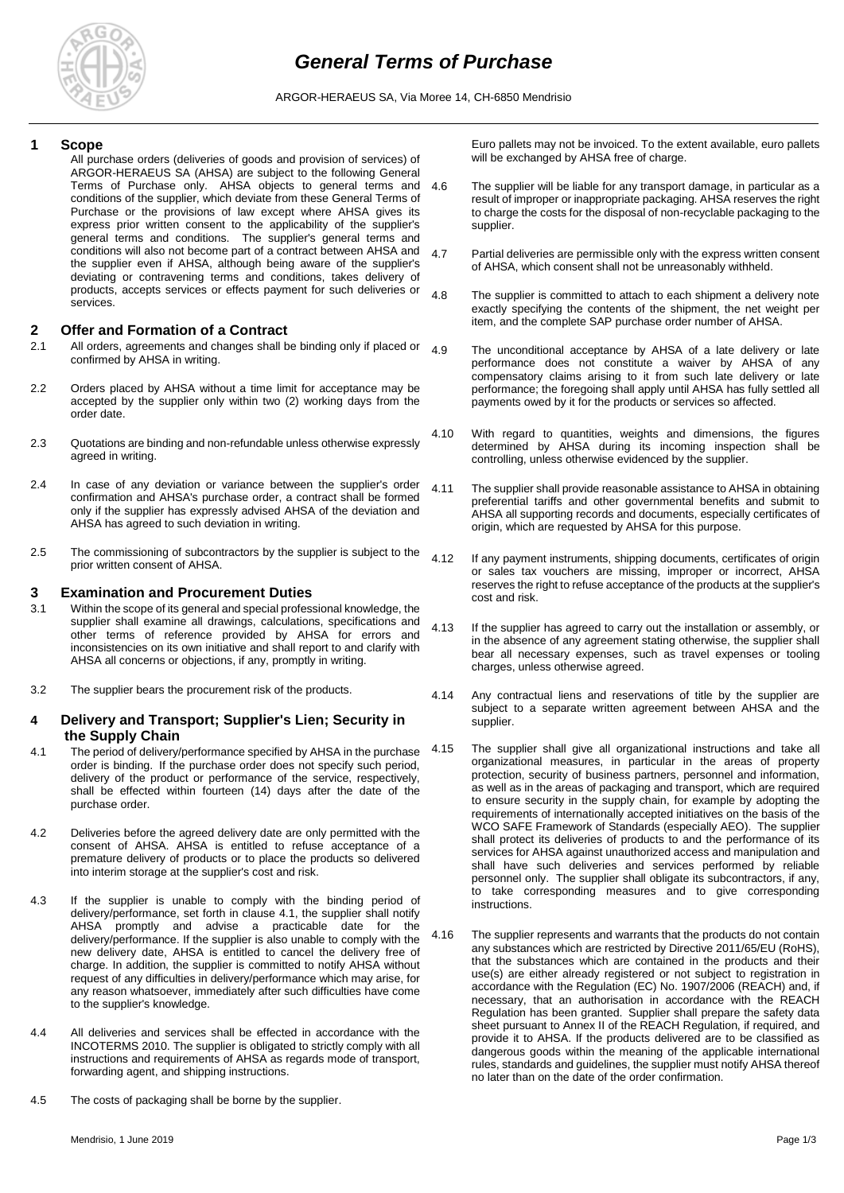

ARGOR-HERAEUS SA, Via Moree 14, CH-6850 Mendrisio

### **1 Scope**

All purchase orders (deliveries of goods and provision of services) of ARGOR-HERAEUS SA (AHSA) are subject to the following General Terms of Purchase only. AHSA objects to general terms and conditions of the supplier, which deviate from these General Terms of Purchase or the provisions of law except where AHSA gives its express prior written consent to the applicability of the supplier's general terms and conditions. The supplier's general terms and conditions will also not become part of a contract between AHSA and the supplier even if AHSA, although being aware of the supplier's deviating or contravening terms and conditions, takes delivery of products, accepts services or effects payment for such deliveries or services.

### **2 Offer and Formation of a Contract**

- 2.1 All orders, agreements and changes shall be binding only if placed or  $4.9$ confirmed by AHSA in writing.
- 2.2 Orders placed by AHSA without a time limit for acceptance may be accepted by the supplier only within two (2) working days from the order date.
- 2.3 Quotations are binding and non-refundable unless otherwise expressly agreed in writing.
- 2.4 In case of any deviation or variance between the supplier's order confirmation and AHSA's purchase order, a contract shall be formed only if the supplier has expressly advised AHSA of the deviation and AHSA has agreed to such deviation in writing.
- 2.5 The commissioning of subcontractors by the supplier is subject to the prior written consent of AHSA.

### **3 Examination and Procurement Duties**

- 3.1 Within the scope of its general and special professional knowledge, the supplier shall examine all drawings, calculations, specifications and other terms of reference provided by AHSA for errors and inconsistencies on its own initiative and shall report to and clarify with AHSA all concerns or objections, if any, promptly in writing.
- 3.2 The supplier bears the procurement risk of the products.

## **4 Delivery and Transport; Supplier's Lien; Security in the Supply Chain**

- 4.1 The period of delivery/performance specified by AHSA in the purchase order is binding. If the purchase order does not specify such period, delivery of the product or performance of the service, respectively, shall be effected within fourteen (14) days after the date of the purchase order.
- 4.2 Deliveries before the agreed delivery date are only permitted with the consent of AHSA. AHSA is entitled to refuse acceptance of a premature delivery of products or to place the products so delivered into interim storage at the supplier's cost and risk.
- 4.3 If the supplier is unable to comply with the binding period of delivery/performance, set forth in clause 4.1, the supplier shall notify AHSA promptly and advise a practicable date for the delivery/performance. If the supplier is also unable to comply with the new delivery date, AHSA is entitled to cancel the delivery free of charge. In addition, the supplier is committed to notify AHSA without request of any difficulties in delivery/performance which may arise, for any reason whatsoever, immediately after such difficulties have come to the supplier's knowledge.
- 4.4 All deliveries and services shall be effected in accordance with the INCOTERMS 2010. The supplier is obligated to strictly comply with all instructions and requirements of AHSA as regards mode of transport, forwarding agent, and shipping instructions.
- 4.5 The costs of packaging shall be borne by the supplier.

Euro pallets may not be invoiced. To the extent available, euro pallets will be exchanged by AHSA free of charge.

- 4.6 The supplier will be liable for any transport damage, in particular as a result of improper or inappropriate packaging. AHSA reserves the right to charge the costs for the disposal of non-recyclable packaging to the supplier.
- 4.7 Partial deliveries are permissible only with the express written consent of AHSA, which consent shall not be unreasonably withheld.
- 4.8 The supplier is committed to attach to each shipment a delivery note exactly specifying the contents of the shipment, the net weight per item, and the complete SAP purchase order number of AHSA.
	- The unconditional acceptance by AHSA of a late delivery or late performance does not constitute a waiver by AHSA of any compensatory claims arising to it from such late delivery or late performance; the foregoing shall apply until AHSA has fully settled all payments owed by it for the products or services so affected.
- 4.10 With regard to quantities, weights and dimensions, the figures determined by AHSA during its incoming inspection shall be controlling, unless otherwise evidenced by the supplier.
- 4.11 The supplier shall provide reasonable assistance to AHSA in obtaining preferential tariffs and other governmental benefits and submit to AHSA all supporting records and documents, especially certificates of origin, which are requested by AHSA for this purpose.
- 4.12 If any payment instruments, shipping documents, certificates of origin or sales tax vouchers are missing, improper or incorrect, AHSA reserves the right to refuse acceptance of the products at the supplier's cost and risk.
- 4.13 If the supplier has agreed to carry out the installation or assembly, or in the absence of any agreement stating otherwise, the supplier shall bear all necessary expenses, such as travel expenses or tooling charges, unless otherwise agreed.
- 4.14 Any contractual liens and reservations of title by the supplier are subject to a separate written agreement between AHSA and the supplier.
- 4.15 The supplier shall give all organizational instructions and take all organizational measures, in particular in the areas of property protection, security of business partners, personnel and information, as well as in the areas of packaging and transport, which are required to ensure security in the supply chain, for example by adopting the requirements of internationally accepted initiatives on the basis of the WCO SAFE Framework of Standards (especially AEO). The supplier shall protect its deliveries of products to and the performance of its services for AHSA against unauthorized access and manipulation and shall have such deliveries and services performed by reliable personnel only. The supplier shall obligate its subcontractors, if any, to take corresponding measures and to give corresponding instructions.
- 4.16 The supplier represents and warrants that the products do not contain any substances which are restricted by Directive 2011/65/EU (RoHS), that the substances which are contained in the products and their use(s) are either already registered or not subject to registration in accordance with the Regulation (EC) No. 1907/2006 (REACH) and, if necessary, that an authorisation in accordance with the REACH Regulation has been granted. Supplier shall prepare the safety data sheet pursuant to Annex II of the REACH Regulation, if required, and provide it to AHSA. If the products delivered are to be classified as dangerous goods within the meaning of the applicable international rules, standards and guidelines, the supplier must notify AHSA thereof no later than on the date of the order confirmation.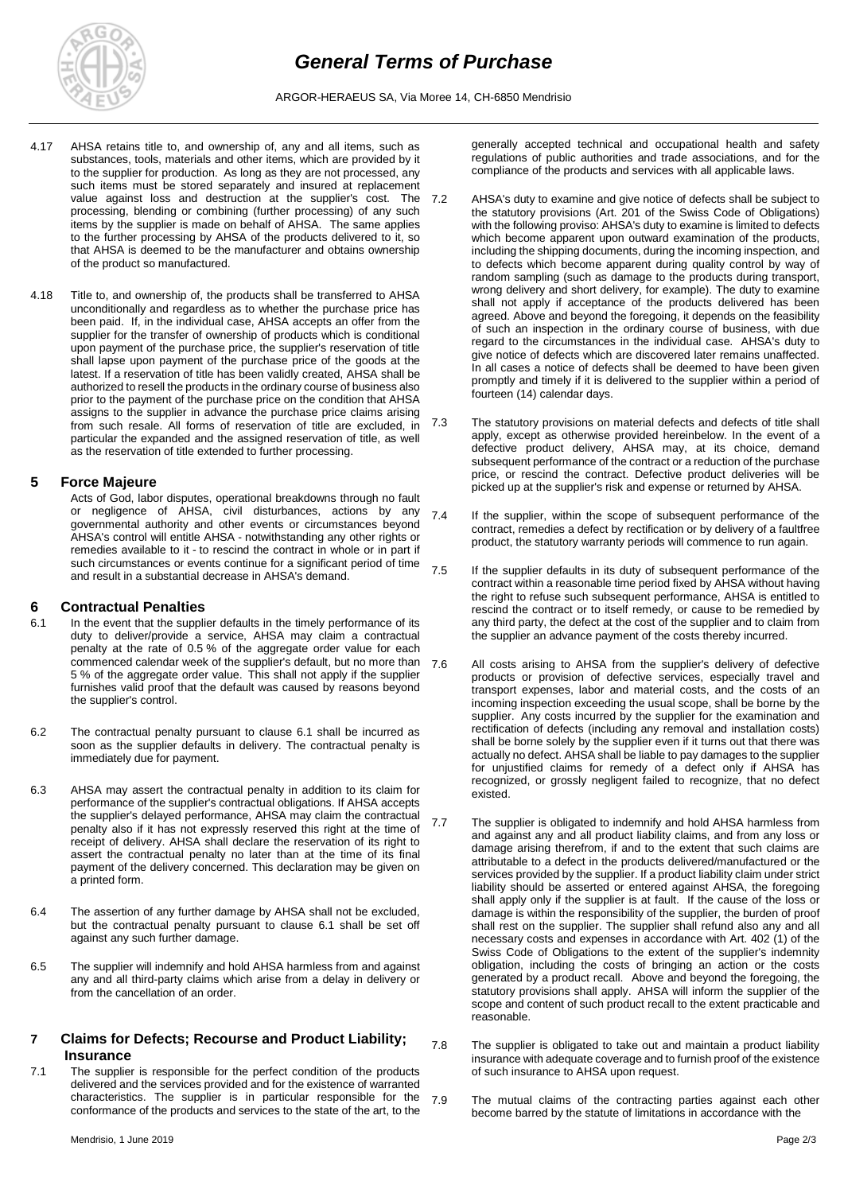

ARGOR-HERAEUS SA, Via Moree 14, CH-6850 Mendrisio

- 4.17 AHSA retains title to, and ownership of, any and all items, such as substances, tools, materials and other items, which are provided by it to the supplier for production. As long as they are not processed, any such items must be stored separately and insured at replacement value against loss and destruction at the supplier's cost. The 7.2 processing, blending or combining (further processing) of any such items by the supplier is made on behalf of AHSA. The same applies to the further processing by AHSA of the products delivered to it, so that AHSA is deemed to be the manufacturer and obtains ownership of the product so manufactured.
- 4.18 Title to, and ownership of, the products shall be transferred to AHSA unconditionally and regardless as to whether the purchase price has been paid. If, in the individual case, AHSA accepts an offer from the supplier for the transfer of ownership of products which is conditional upon payment of the purchase price, the supplier's reservation of title shall lapse upon payment of the purchase price of the goods at the latest. If a reservation of title has been validly created, AHSA shall be authorized to resell the products in the ordinary course of business also prior to the payment of the purchase price on the condition that AHSA assigns to the supplier in advance the purchase price claims arising from such resale. All forms of reservation of title are excluded, in particular the expanded and the assigned reservation of title, as well as the reservation of title extended to further processing.

## **5 Force Majeure**

Acts of God, labor disputes, operational breakdowns through no fault or negligence of AHSA, civil disturbances, actions by any governmental authority and other events or circumstances beyond AHSA's control will entitle AHSA - notwithstanding any other rights or remedies available to it - to rescind the contract in whole or in part if such circumstances or events continue for a significant period of time and result in a substantial decrease in AHSA's demand.

# **6 Contractual Penalties**

- 6.1 In the event that the supplier defaults in the timely performance of its duty to deliver/provide a service, AHSA may claim a contractual penalty at the rate of 0.5 % of the aggregate order value for each commenced calendar week of the supplier's default, but no more than 5 % of the aggregate order value. This shall not apply if the supplier furnishes valid proof that the default was caused by reasons beyond the supplier's control.
- 6.2 The contractual penalty pursuant to clause 6.1 shall be incurred as soon as the supplier defaults in delivery. The contractual penalty is immediately due for payment.
- 6.3 AHSA may assert the contractual penalty in addition to its claim for performance of the supplier's contractual obligations. If AHSA accepts the supplier's delayed performance, AHSA may claim the contractual penalty also if it has not expressly reserved this right at the time of receipt of delivery. AHSA shall declare the reservation of its right to assert the contractual penalty no later than at the time of its final payment of the delivery concerned. This declaration may be given on a printed form.
- 6.4 The assertion of any further damage by AHSA shall not be excluded, but the contractual penalty pursuant to clause 6.1 shall be set off against any such further damage.
- 6.5 The supplier will indemnify and hold AHSA harmless from and against any and all third-party claims which arise from a delay in delivery or from the cancellation of an order.

# **7 Claims for Defects; Recourse and Product Liability; Insurance**

7.1 The supplier is responsible for the perfect condition of the products delivered and the services provided and for the existence of warranted characteristics. The supplier is in particular responsible for the conformance of the products and services to the state of the art, to the

generally accepted technical and occupational health and safety regulations of public authorities and trade associations, and for the compliance of the products and services with all applicable laws.

- AHSA's duty to examine and give notice of defects shall be subject to the statutory provisions (Art. 201 of the Swiss Code of Obligations) with the following proviso: AHSA's duty to examine is limited to defects which become apparent upon outward examination of the products, including the shipping documents, during the incoming inspection, and to defects which become apparent during quality control by way of random sampling (such as damage to the products during transport, wrong delivery and short delivery, for example). The duty to examine shall not apply if acceptance of the products delivered has been agreed. Above and beyond the foregoing, it depends on the feasibility of such an inspection in the ordinary course of business, with due regard to the circumstances in the individual case. AHSA's duty to give notice of defects which are discovered later remains unaffected. In all cases a notice of defects shall be deemed to have been given promptly and timely if it is delivered to the supplier within a period of fourteen (14) calendar days.
- 7.3 The statutory provisions on material defects and defects of title shall apply, except as otherwise provided hereinbelow. In the event of a defective product delivery, AHSA may, at its choice, demand subsequent performance of the contract or a reduction of the purchase price, or rescind the contract. Defective product deliveries will be picked up at the supplier's risk and expense or returned by AHSA.
- 7.4 If the supplier, within the scope of subsequent performance of the contract, remedies a defect by rectification or by delivery of a faultfree product, the statutory warranty periods will commence to run again.
- 7.5 If the supplier defaults in its duty of subsequent performance of the contract within a reasonable time period fixed by AHSA without having the right to refuse such subsequent performance, AHSA is entitled to rescind the contract or to itself remedy, or cause to be remedied by any third party, the defect at the cost of the supplier and to claim from the supplier an advance payment of the costs thereby incurred.
- 7.6 All costs arising to AHSA from the supplier's delivery of defective products or provision of defective services, especially travel and transport expenses, labor and material costs, and the costs of an incoming inspection exceeding the usual scope, shall be borne by the supplier. Any costs incurred by the supplier for the examination and rectification of defects (including any removal and installation costs) shall be borne solely by the supplier even if it turns out that there was actually no defect. AHSA shall be liable to pay damages to the supplier for unjustified claims for remedy of a defect only if AHSA has recognized, or grossly negligent failed to recognize, that no defect existed.
- 7.7 The supplier is obligated to indemnify and hold AHSA harmless from and against any and all product liability claims, and from any loss or damage arising therefrom, if and to the extent that such claims are attributable to a defect in the products delivered/manufactured or the services provided by the supplier. If a product liability claim under strict liability should be asserted or entered against AHSA, the foregoing shall apply only if the supplier is at fault. If the cause of the loss or damage is within the responsibility of the supplier, the burden of proof shall rest on the supplier. The supplier shall refund also any and all necessary costs and expenses in accordance with Art. 402 (1) of the Swiss Code of Obligations to the extent of the supplier's indemnity obligation, including the costs of bringing an action or the costs generated by a product recall. Above and beyond the foregoing, the statutory provisions shall apply. AHSA will inform the supplier of the scope and content of such product recall to the extent practicable and reasonable.
- 7.8 The supplier is obligated to take out and maintain a product liability insurance with adequate coverage and to furnish proof of the existence of such insurance to AHSA upon request.
- 7.9 The mutual claims of the contracting parties against each other become barred by the statute of limitations in accordance with the